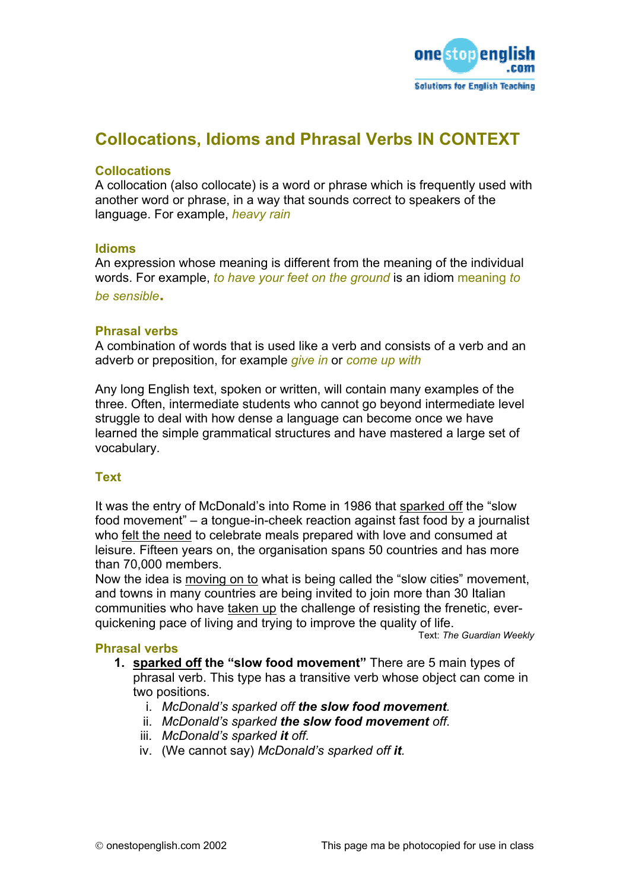

# **Collocations, Idioms and Phrasal Verbs IN CONTEXT**

#### **Collocations**

A collocation (also collocate) is a word or phrase which is frequently used with another word or phrase, in a way that sounds correct to speakers of the language. For example, *heavy rain*

#### **Idioms**

An expression whose meaning is different from the meaning of the individual words. For example, *to have your feet on the ground* is an idiom meaning *to be sensible***.** 

## **Phrasal verbs**

A combination of words that is used like a verb and consists of a verb and an adverb or preposition, for example *give in* or *come up with*

Any long English text, spoken or written, will contain many examples of the three. Often, intermediate students who cannot go beyond intermediate level struggle to deal with how dense a language can become once we have learned the simple grammatical structures and have mastered a large set of vocabulary.

# **Text**

It was the entry of McDonald's into Rome in 1986 that sparked off the "slow food movement" – a tongue-in-cheek reaction against fast food by a journalist who felt the need to celebrate meals prepared with love and consumed at leisure. Fifteen years on, the organisation spans 50 countries and has more than 70,000 members.

Now the idea is moving on to what is being called the "slow cities" movement, and towns in many countries are being invited to join more than 30 Italian communities who have taken up the challenge of resisting the frenetic, everquickening pace of living and trying to improve the quality of life.

Text: *The Guardian Weekly*

#### **Phrasal verbs**

- **1. sparked off the "slow food movement"** There are 5 main types of phrasal verb. This type has a transitive verb whose object can come in two positions.
	- i. *McDonald's sparked off the slow food movement.*
	- ii. *McDonald's sparked the slow food movement off.*
	- iii. *McDonald's sparked it off.*
	- iv. (We cannot say) *McDonald's sparked off it.*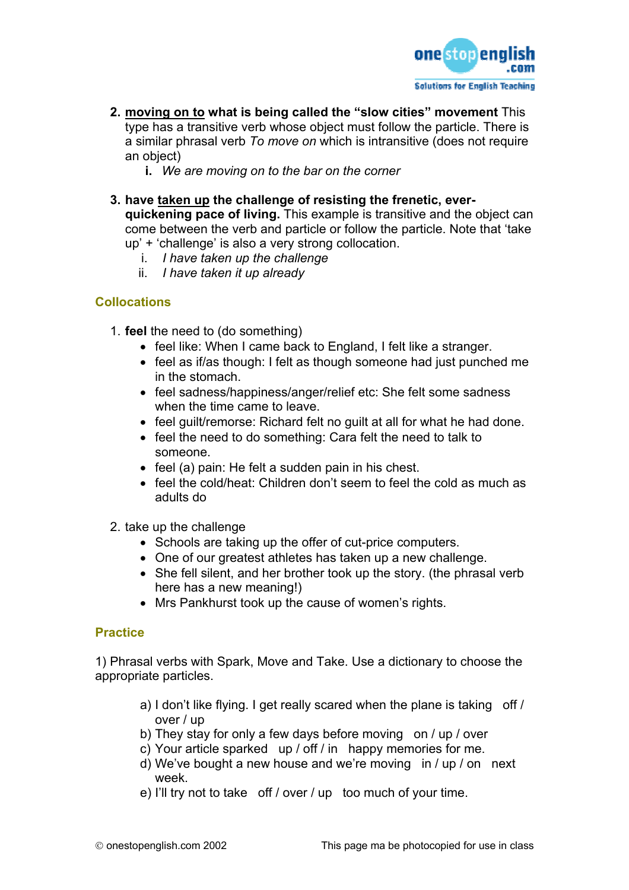

- **2. moving on to what is being called the "slow cities" movement** This type has a transitive verb whose object must follow the particle. There is a similar phrasal verb *To move on* which is intransitive (does not require an object)
	- **i.** *We are moving on to the bar on the corner*
- **3. have taken up the challenge of resisting the frenetic, everquickening pace of living.** This example is transitive and the object can come between the verb and particle or follow the particle. Note that 'take up' + 'challenge' is also a very strong collocation.
	- i. *I have taken up the challenge*
	- ii. *I have taken it up already*

# **CoIlocations**

- 1. **feel** the need to (do something)
	- feel like: When I came back to England, I felt like a stranger.
	- feel as if/as though: I felt as though someone had just punched me in the stomach.
	- feel sadness/happiness/anger/relief etc: She felt some sadness when the time came to leave.
	- feel guilt/remorse: Richard felt no guilt at all for what he had done.
	- feel the need to do something: Cara felt the need to talk to someone.
	- feel (a) pain: He felt a sudden pain in his chest.
	- feel the cold/heat: Children don't seem to feel the cold as much as adults do
- 2. take up the challenge
	- Schools are taking up the offer of cut-price computers.
	- One of our greatest athletes has taken up a new challenge.
	- She fell silent, and her brother took up the story. (the phrasal verb here has a new meaning!)
	- Mrs Pankhurst took up the cause of women's rights.

#### **Practice**

1) Phrasal verbs with Spark, Move and Take. Use a dictionary to choose the appropriate particles.

- a) I don't like flying. I get really scared when the plane is taking off / over / up
- b) They stay for only a few days before moving on / up / over
- c) Your article sparked up / off / in happy memories for me.
- d) We've bought a new house and we're moving in / up / on next week.
- e) I'll try not to take off / over / up too much of your time.